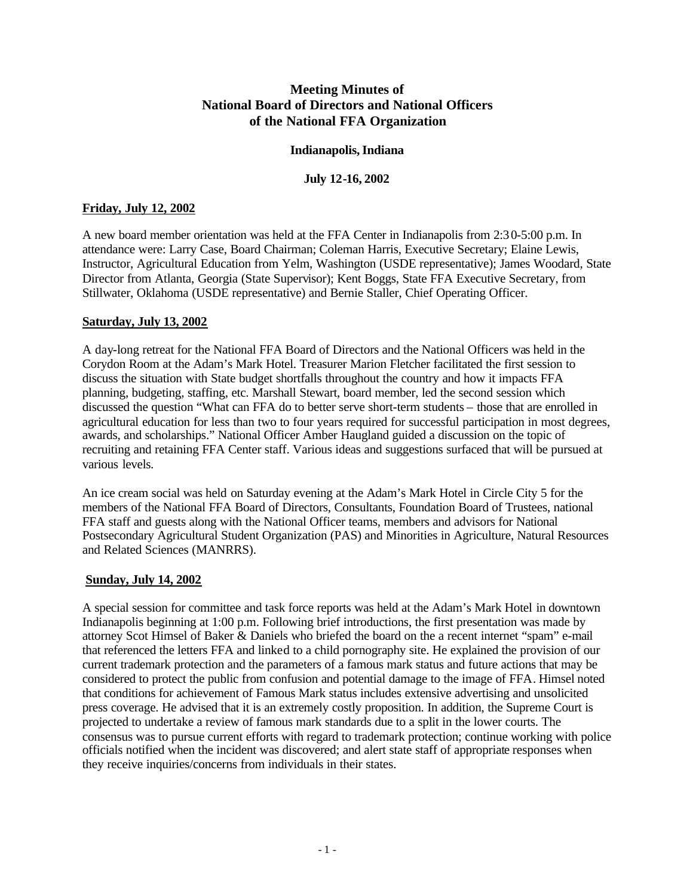# **Meeting Minutes of National Board of Directors and National Officers of the National FFA Organization**

## **Indianapolis, Indiana**

#### **July 12-16, 2002**

# **Friday, July 12, 2002**

A new board member orientation was held at the FFA Center in Indianapolis from 2:30-5:00 p.m. In attendance were: Larry Case, Board Chairman; Coleman Harris, Executive Secretary; Elaine Lewis, Instructor, Agricultural Education from Yelm, Washington (USDE representative); James Woodard, State Director from Atlanta, Georgia (State Supervisor); Kent Boggs, State FFA Executive Secretary, from Stillwater, Oklahoma (USDE representative) and Bernie Staller, Chief Operating Officer.

## **Saturday, July 13, 2002**

A day-long retreat for the National FFA Board of Directors and the National Officers was held in the Corydon Room at the Adam's Mark Hotel. Treasurer Marion Fletcher facilitated the first session to discuss the situation with State budget shortfalls throughout the country and how it impacts FFA planning, budgeting, staffing, etc. Marshall Stewart, board member, led the second session which discussed the question "What can FFA do to better serve short-term students – those that are enrolled in agricultural education for less than two to four years required for successful participation in most degrees, awards, and scholarships." National Officer Amber Haugland guided a discussion on the topic of recruiting and retaining FFA Center staff. Various ideas and suggestions surfaced that will be pursued at various levels.

An ice cream social was held on Saturday evening at the Adam's Mark Hotel in Circle City 5 for the members of the National FFA Board of Directors, Consultants, Foundation Board of Trustees, national FFA staff and guests along with the National Officer teams, members and advisors for National Postsecondary Agricultural Student Organization (PAS) and Minorities in Agriculture, Natural Resources and Related Sciences (MANRRS).

## **Sunday, July 14, 2002**

A special session for committee and task force reports was held at the Adam's Mark Hotel in downtown Indianapolis beginning at 1:00 p.m. Following brief introductions, the first presentation was made by attorney Scot Himsel of Baker & Daniels who briefed the board on the a recent internet "spam" e-mail that referenced the letters FFA and linked to a child pornography site. He explained the provision of our current trademark protection and the parameters of a famous mark status and future actions that may be considered to protect the public from confusion and potential damage to the image of FFA. Himsel noted that conditions for achievement of Famous Mark status includes extensive advertising and unsolicited press coverage. He advised that it is an extremely costly proposition. In addition, the Supreme Court is projected to undertake a review of famous mark standards due to a split in the lower courts. The consensus was to pursue current efforts with regard to trademark protection; continue working with police officials notified when the incident was discovered; and alert state staff of appropriate responses when they receive inquiries/concerns from individuals in their states.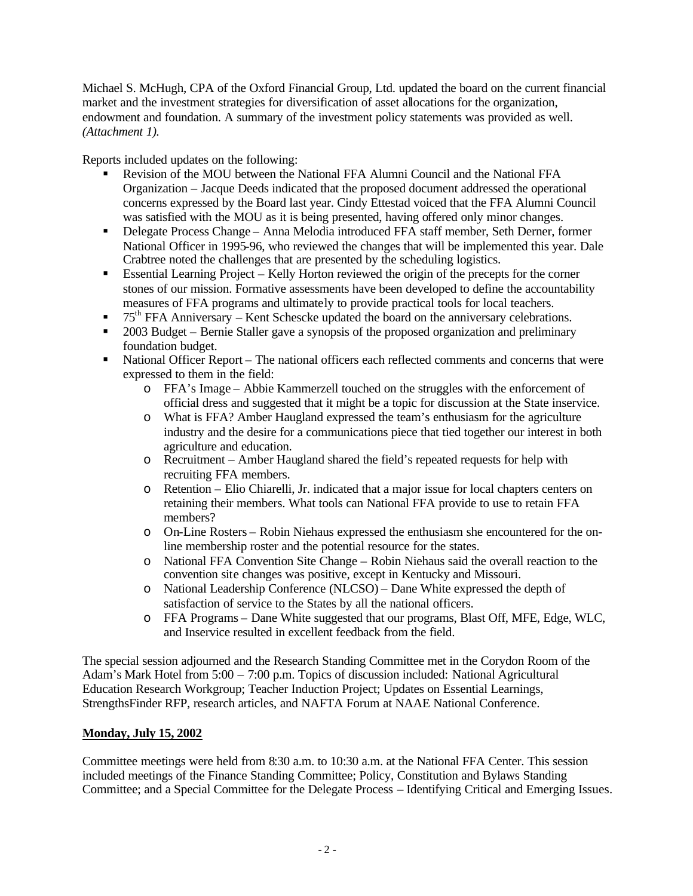Michael S. McHugh, CPA of the Oxford Financial Group, Ltd. updated the board on the current financial market and the investment strategies for diversification of asset allocations for the organization, endowment and foundation. A summary of the investment policy statements was provided as well. *(Attachment 1).*

Reports included updates on the following:

- **Revision of the MOU between the National FFA Alumni Council and the National FFA** Organization – Jacque Deeds indicated that the proposed document addressed the operational concerns expressed by the Board last year. Cindy Ettestad voiced that the FFA Alumni Council was satisfied with the MOU as it is being presented, having offered only minor changes.
- **•** Delegate Process Change Anna Melodia introduced FFA staff member, Seth Derner, former National Officer in 1995-96, who reviewed the changes that will be implemented this year. Dale Crabtree noted the challenges that are presented by the scheduling logistics.
- **Essential Learning Project Kelly Horton reviewed the origin of the precepts for the corner** stones of our mission. Formative assessments have been developed to define the accountability measures of FFA programs and ultimately to provide practical tools for local teachers.
- $\blacksquare$  75<sup>th</sup> FFA Anniversary Kent Schescke updated the board on the anniversary celebrations.
- ß 2003 Budget Bernie Staller gave a synopsis of the proposed organization and preliminary foundation budget.
- National Officer Report The national officers each reflected comments and concerns that were expressed to them in the field:
	- o FFA's Image Abbie Kammerzell touched on the struggles with the enforcement of official dress and suggested that it might be a topic for discussion at the State inservice.
	- o What is FFA? Amber Haugland expressed the team's enthusiasm for the agriculture industry and the desire for a communications piece that tied together our interest in both agriculture and education.
	- o Recruitment Amber Haugland shared the field's repeated requests for help with recruiting FFA members.
	- o Retention Elio Chiarelli, Jr. indicated that a major issue for local chapters centers on retaining their members. What tools can National FFA provide to use to retain FFA members?
	- o On-Line Rosters Robin Niehaus expressed the enthusiasm she encountered for the online membership roster and the potential resource for the states.
	- o National FFA Convention Site Change Robin Niehaus said the overall reaction to the convention site changes was positive, except in Kentucky and Missouri.
	- o National Leadership Conference (NLCSO) Dane White expressed the depth of satisfaction of service to the States by all the national officers.
	- o FFA Programs Dane White suggested that our programs, Blast Off, MFE, Edge, WLC, and Inservice resulted in excellent feedback from the field.

The special session adjourned and the Research Standing Committee met in the Corydon Room of the Adam's Mark Hotel from 5:00 – 7:00 p.m. Topics of discussion included: National Agricultural Education Research Workgroup; Teacher Induction Project; Updates on Essential Learnings, StrengthsFinder RFP, research articles, and NAFTA Forum at NAAE National Conference.

## **Monday, July 15, 2002**

Committee meetings were held from 8:30 a.m. to 10:30 a.m. at the National FFA Center. This session included meetings of the Finance Standing Committee; Policy, Constitution and Bylaws Standing Committee; and a Special Committee for the Delegate Process – Identifying Critical and Emerging Issues.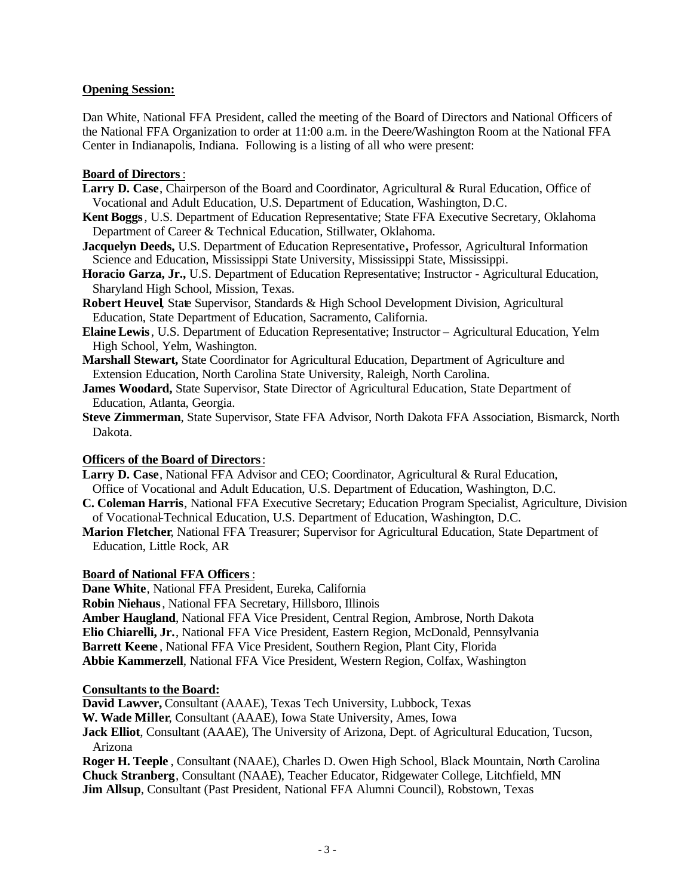# **Opening Session:**

Dan White, National FFA President, called the meeting of the Board of Directors and National Officers of the National FFA Organization to order at 11:00 a.m. in the Deere/Washington Room at the National FFA Center in Indianapolis, Indiana. Following is a listing of all who were present:

## **Board of Directors**:

- **Larry D. Case**, Chairperson of the Board and Coordinator, Agricultural & Rural Education, Office of Vocational and Adult Education, U.S. Department of Education, Washington, D.C.
- **Kent Boggs**, U.S. Department of Education Representative; State FFA Executive Secretary, Oklahoma Department of Career & Technical Education, Stillwater, Oklahoma.
- **Jacquelyn Deeds,** U.S. Department of Education Representative**,** Professor, Agricultural Information Science and Education, Mississippi State University, Mississippi State, Mississippi.
- **Horacio Garza, Jr.,** U.S. Department of Education Representative; Instructor Agricultural Education, Sharyland High School, Mission, Texas.
- **Robert Heuvel,** State Supervisor, Standards & High School Development Division, Agricultural Education, State Department of Education, Sacramento, California.
- **Elaine Lewis**, U.S. Department of Education Representative; Instructor Agricultural Education, Yelm High School, Yelm, Washington.
- **Marshall Stewart,** State Coordinator for Agricultural Education, Department of Agriculture and Extension Education, North Carolina State University, Raleigh, North Carolina.
- **James Woodard,** State Supervisor, State Director of Agricultural Education, State Department of Education, Atlanta, Georgia.
- **Steve Zimmerman**, State Supervisor, State FFA Advisor, North Dakota FFA Association, Bismarck, North Dakota.

## **Officers of the Board of Directors**:

- **Larry D. Case**, National FFA Advisor and CEO; Coordinator, Agricultural & Rural Education, Office of Vocational and Adult Education, U.S. Department of Education, Washington, D.C.
- **C. Coleman Harris**, National FFA Executive Secretary; Education Program Specialist, Agriculture, Division of Vocational-Technical Education, U.S. Department of Education, Washington, D.C.
- **Marion Fletcher**, National FFA Treasurer; Supervisor for Agricultural Education, State Department of Education, Little Rock, AR

## **Board of National FFA Officers**:

**Dane White**, National FFA President, Eureka, California **Robin Niehaus**, National FFA Secretary, Hillsboro, Illinois **Amber Haugland**, National FFA Vice President, Central Region, Ambrose, North Dakota **Elio Chiarelli, Jr.**, National FFA Vice President, Eastern Region, McDonald, Pennsylvania **Barrett Keene** , National FFA Vice President, Southern Region, Plant City, Florida **Abbie Kammerzell**, National FFA Vice President, Western Region, Colfax, Washington

## **Consultants to the Board:**

**David Lawver,** Consultant (AAAE), Texas Tech University, Lubbock, Texas

**W. Wade Miller**, Consultant (AAAE), Iowa State University, Ames, Iowa

**Jack Elliot**, Consultant (AAAE), The University of Arizona, Dept. of Agricultural Education, Tucson, Arizona

**Roger H. Teeple** , Consultant (NAAE), Charles D. Owen High School, Black Mountain, North Carolina **Chuck Stranberg**, Consultant (NAAE), Teacher Educator, Ridgewater College, Litchfield, MN **Jim Allsup**, Consultant (Past President, National FFA Alumni Council), Robstown, Texas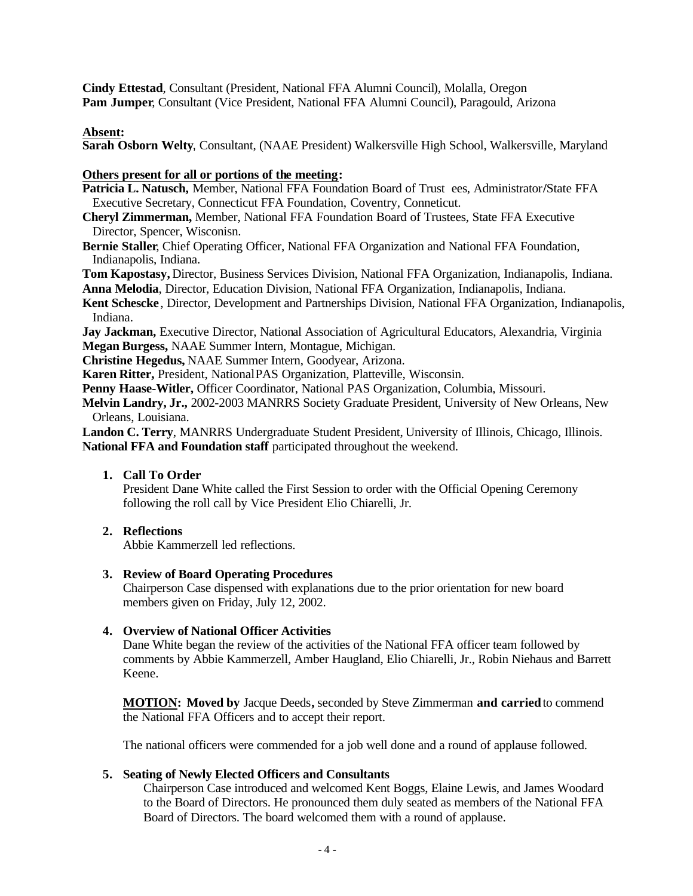**Cindy Ettestad**, Consultant (President, National FFA Alumni Council), Molalla, Oregon **Pam Jumper**, Consultant (Vice President, National FFA Alumni Council), Paragould, Arizona

## **Absent:**

**Sarah Osborn Welty**, Consultant, (NAAE President) Walkersville High School, Walkersville, Maryland

#### **Others present for all or portions of the meeting:**

- **Patricia L. Natusch,** Member, National FFA Foundation Board of Trust ees, Administrator**/**State FFA Executive Secretary, Connecticut FFA Foundation, Coventry, Conneticut.
- **Cheryl Zimmerman,** Member, National FFA Foundation Board of Trustees, State FFA Executive Director, Spencer, Wisconisn.
- **Bernie Staller**, Chief Operating Officer, National FFA Organization and National FFA Foundation, Indianapolis, Indiana.

**Tom Kapostasy,** Director, Business Services Division, National FFA Organization, Indianapolis, Indiana.

**Anna Melodia**, Director, Education Division, National FFA Organization, Indianapolis, Indiana.

**Kent Schescke** , Director, Development and Partnerships Division, National FFA Organization, Indianapolis, Indiana.

**Jay Jackman,** Executive Director, National Association of Agricultural Educators, Alexandria, Virginia **Megan Burgess,** NAAE Summer Intern, Montague, Michigan.

**Christine Hegedus,** NAAE Summer Intern, Goodyear, Arizona.

**Karen Ritter,** President, NationalPAS Organization, Platteville, Wisconsin.

Penny Haase-Witler, Officer Coordinator, National PAS Organization, Columbia, Missouri.

**Melvin Landry, Jr.,** 2002-2003 MANRRS Society Graduate President, University of New Orleans, New Orleans, Louisiana.

**Landon C. Terry**, MANRRS Undergraduate Student President, University of Illinois, Chicago, Illinois. **National FFA and Foundation staff** participated throughout the weekend.

## **1. Call To Order**

President Dane White called the First Session to order with the Official Opening Ceremony following the roll call by Vice President Elio Chiarelli, Jr.

## **2. Reflections**

Abbie Kammerzell led reflections.

#### **3. Review of Board Operating Procedures**

Chairperson Case dispensed with explanations due to the prior orientation for new board members given on Friday, July 12, 2002.

## **4. Overview of National Officer Activities**

Dane White began the review of the activities of the National FFA officer team followed by comments by Abbie Kammerzell, Amber Haugland, Elio Chiarelli, Jr., Robin Niehaus and Barrett Keene.

**MOTION: Moved by** Jacque Deeds**,** seconded by Steve Zimmerman **and carried** to commend the National FFA Officers and to accept their report.

The national officers were commended for a job well done and a round of applause followed.

## **5. Seating of Newly Elected Officers and Consultants**

Chairperson Case introduced and welcomed Kent Boggs, Elaine Lewis, and James Woodard to the Board of Directors. He pronounced them duly seated as members of the National FFA Board of Directors. The board welcomed them with a round of applause.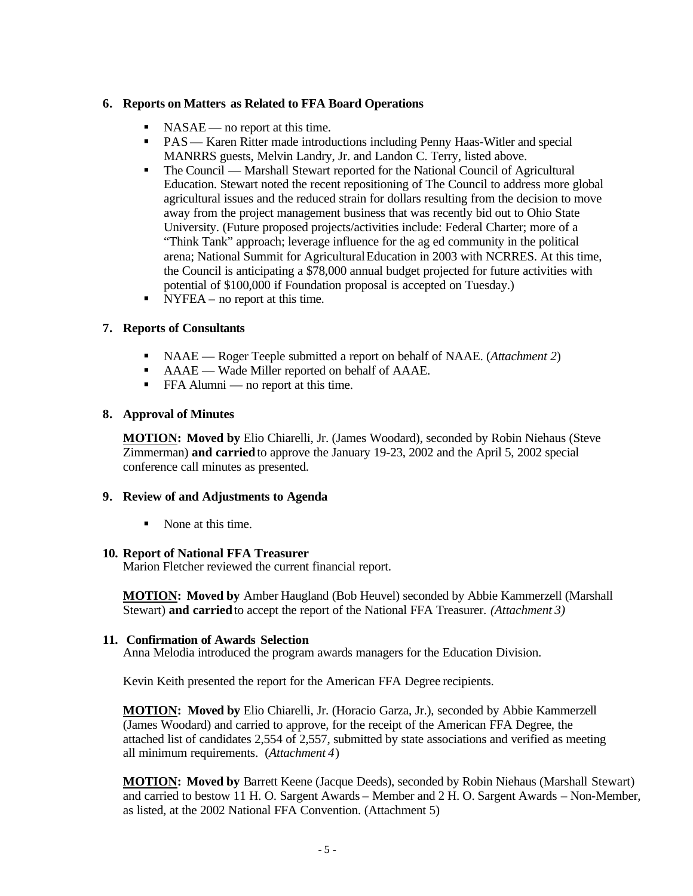# **6. Reports on Matters as Related to FFA Board Operations**

- $\blacksquare$  NASAE no report at this time.
- **•** PAS— Karen Ritter made introductions including Penny Haas-Witler and special MANRRS guests, Melvin Landry, Jr. and Landon C. Terry, listed above.
- The Council Marshall Stewart reported for the National Council of Agricultural Education. Stewart noted the recent repositioning of The Council to address more global agricultural issues and the reduced strain for dollars resulting from the decision to move away from the project management business that was recently bid out to Ohio State University. (Future proposed projects/activities include: Federal Charter; more of a "Think Tank" approach; leverage influence for the ag ed community in the political arena; National Summit for Agricultural Education in 2003 with NCRRES. At this time, the Council is anticipating a \$78,000 annual budget projected for future activities with potential of \$100,000 if Foundation proposal is accepted on Tuesday.)
- NYFEA no report at this time.

# **7. Reports of Consultants**

- ß NAAE Roger Teeple submitted a report on behalf of NAAE. (*Attachment 2*)
- AAAE Wade Miller reported on behalf of AAAE.
- FFA Alumni no report at this time.

## **8. Approval of Minutes**

**MOTION: Moved by** Elio Chiarelli, Jr. (James Woodard), seconded by Robin Niehaus (Steve Zimmerman) **and carried** to approve the January 19-23, 2002 and the April 5, 2002 special conference call minutes as presented.

## **9. Review of and Adjustments to Agenda**

ß None at this time.

## **10. Report of National FFA Treasurer**

Marion Fletcher reviewed the current financial report.

**MOTION: Moved by** Amber Haugland (Bob Heuvel) seconded by Abbie Kammerzell (Marshall Stewart) **and carried** to accept the report of the National FFA Treasurer. *(Attachment 3)*

## **11. Confirmation of Awards Selection**

Anna Melodia introduced the program awards managers for the Education Division.

Kevin Keith presented the report for the American FFA Degree recipients.

**MOTION: Moved by** Elio Chiarelli, Jr. (Horacio Garza, Jr.), seconded by Abbie Kammerzell (James Woodard) and carried to approve, for the receipt of the American FFA Degree, the attached list of candidates 2,554 of 2,557, submitted by state associations and verified as meeting all minimum requirements. (*Attachment 4*)

**MOTION: Moved by** Barrett Keene (Jacque Deeds), seconded by Robin Niehaus (Marshall Stewart) and carried to bestow 11 H. O. Sargent Awards – Member and 2 H. O. Sargent Awards – Non-Member, as listed, at the 2002 National FFA Convention. (Attachment 5)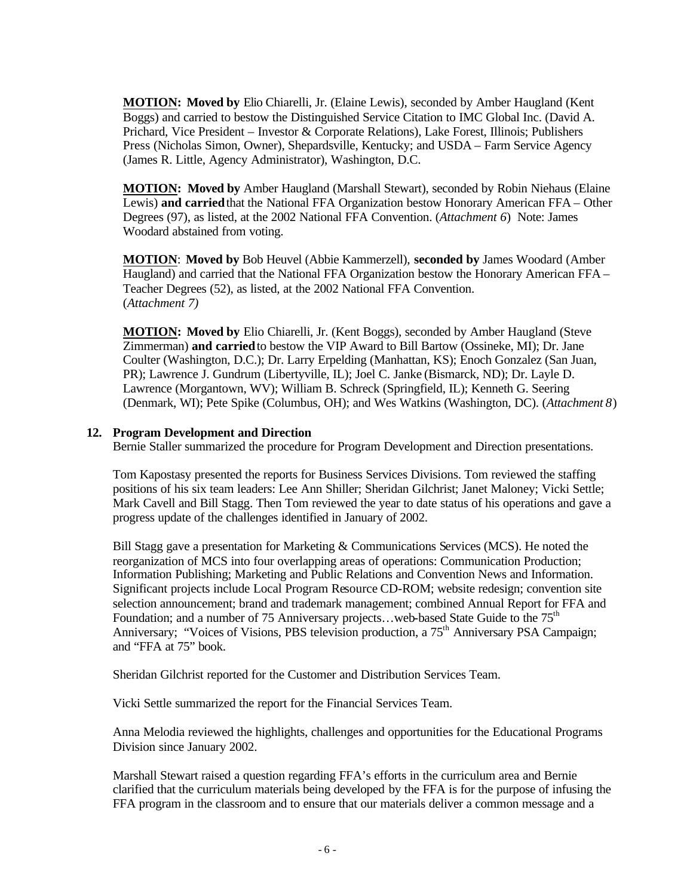**MOTION: Moved by** Elio Chiarelli, Jr. (Elaine Lewis), seconded by Amber Haugland (Kent Boggs) and carried to bestow the Distinguished Service Citation to IMC Global Inc. (David A. Prichard, Vice President – Investor & Corporate Relations), Lake Forest, Illinois; Publishers Press (Nicholas Simon, Owner), Shepardsville, Kentucky; and USDA – Farm Service Agency (James R. Little, Agency Administrator), Washington, D.C.

**MOTION: Moved by** Amber Haugland (Marshall Stewart), seconded by Robin Niehaus (Elaine Lewis) **and carried** that the National FFA Organization bestow Honorary American FFA – Other Degrees (97), as listed, at the 2002 National FFA Convention. (*Attachment 6*) Note: James Woodard abstained from voting.

**MOTION**: **Moved by** Bob Heuvel (Abbie Kammerzell), **seconded by** James Woodard (Amber Haugland) and carried that the National FFA Organization bestow the Honorary American FFA – Teacher Degrees (52), as listed, at the 2002 National FFA Convention. (*Attachment 7)*

**MOTION: Moved by** Elio Chiarelli, Jr. (Kent Boggs), seconded by Amber Haugland (Steve Zimmerman) **and carried** to bestow the VIP Award to Bill Bartow (Ossineke, MI); Dr. Jane Coulter (Washington, D.C.); Dr. Larry Erpelding (Manhattan, KS); Enoch Gonzalez (San Juan, PR); Lawrence J. Gundrum (Libertyville, IL); Joel C. Janke (Bismarck, ND); Dr. Layle D. Lawrence (Morgantown, WV); William B. Schreck (Springfield, IL); Kenneth G. Seering (Denmark, WI); Pete Spike (Columbus, OH); and Wes Watkins (Washington, DC). (*Attachment 8*)

## **12. Program Development and Direction**

Bernie Staller summarized the procedure for Program Development and Direction presentations.

Tom Kapostasy presented the reports for Business Services Divisions. Tom reviewed the staffing positions of his six team leaders: Lee Ann Shiller; Sheridan Gilchrist; Janet Maloney; Vicki Settle; Mark Cavell and Bill Stagg. Then Tom reviewed the year to date status of his operations and gave a progress update of the challenges identified in January of 2002.

Bill Stagg gave a presentation for Marketing & Communications Services (MCS). He noted the reorganization of MCS into four overlapping areas of operations: Communication Production; Information Publishing; Marketing and Public Relations and Convention News and Information. Significant projects include Local Program Resource CD-ROM; website redesign; convention site selection announcement; brand and trademark management; combined Annual Report for FFA and Foundation; and a number of 75 Anniversary projects...web-based State Guide to the  $75<sup>th</sup>$ Anniversary; "Voices of Visions, PBS television production, a 75<sup>th</sup> Anniversary PSA Campaign; and "FFA at 75" book.

Sheridan Gilchrist reported for the Customer and Distribution Services Team.

Vicki Settle summarized the report for the Financial Services Team.

Anna Melodia reviewed the highlights, challenges and opportunities for the Educational Programs Division since January 2002.

Marshall Stewart raised a question regarding FFA's efforts in the curriculum area and Bernie clarified that the curriculum materials being developed by the FFA is for the purpose of infusing the FFA program in the classroom and to ensure that our materials deliver a common message and a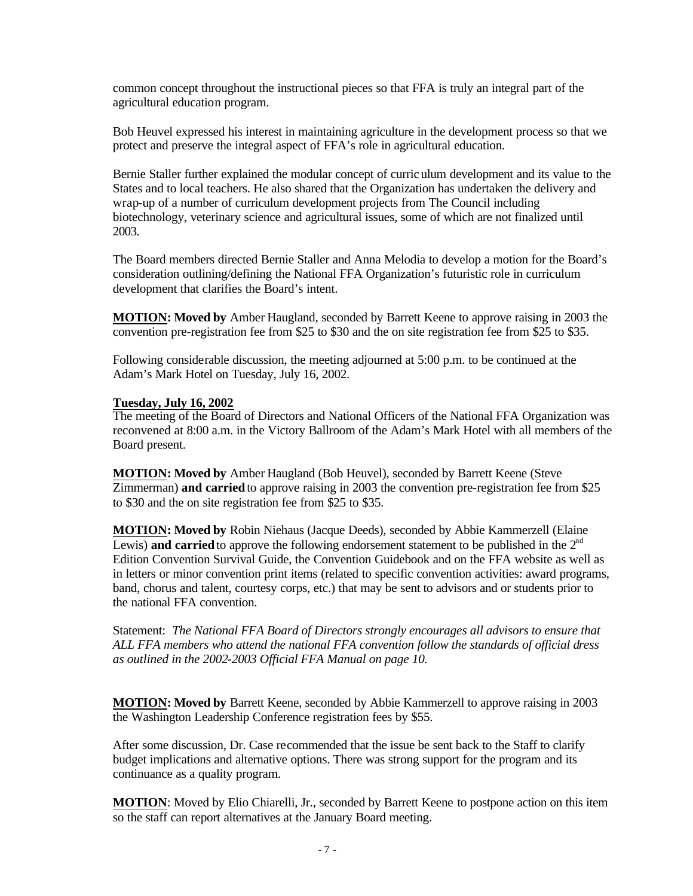common concept throughout the instructional pieces so that FFA is truly an integral part of the agricultural education program.

Bob Heuvel expressed his interest in maintaining agriculture in the development process so that we protect and preserve the integral aspect of FFA's role in agricultural education.

Bernie Staller further explained the modular concept of curriculum development and its value to the States and to local teachers. He also shared that the Organization has undertaken the delivery and wrap-up of a number of curriculum development projects from The Council including biotechnology, veterinary science and agricultural issues, some of which are not finalized until 2003.

The Board members directed Bernie Staller and Anna Melodia to develop a motion for the Board's consideration outlining/defining the National FFA Organization's futuristic role in curriculum development that clarifies the Board's intent.

**MOTION: Moved by** Amber Haugland, seconded by Barrett Keene to approve raising in 2003 the convention pre-registration fee from \$25 to \$30 and the on site registration fee from \$25 to \$35.

Following considerable discussion, the meeting adjourned at 5:00 p.m. to be continued at the Adam's Mark Hotel on Tuesday, July 16, 2002.

#### **Tuesday, July 16, 2002**

The meeting of the Board of Directors and National Officers of the National FFA Organization was reconvened at 8:00 a.m. in the Victory Ballroom of the Adam's Mark Hotel with all members of the Board present.

**MOTION: Moved by** Amber Haugland (Bob Heuvel), seconded by Barrett Keene (Steve Zimmerman) **and carried** to approve raising in 2003 the convention pre-registration fee from \$25 to \$30 and the on site registration fee from \$25 to \$35.

**MOTION: Moved by** Robin Niehaus (Jacque Deeds), seconded by Abbie Kammerzell (Elaine Lewis) **and carried** to approve the following endorsement statement to be published in the  $2<sup>nd</sup>$ Edition Convention Survival Guide, the Convention Guidebook and on the FFA website as well as in letters or minor convention print items (related to specific convention activities: award programs, band, chorus and talent, courtesy corps, etc.) that may be sent to advisors and or students prior to the national FFA convention.

Statement: *The National FFA Board of Directors strongly encourages all advisors to ensure that ALL FFA members who attend the national FFA convention follow the standards of official dress as outlined in the 2002-2003 Official FFA Manual on page 10.*

**MOTION: Moved by** Barrett Keene, seconded by Abbie Kammerzell to approve raising in 2003 the Washington Leadership Conference registration fees by \$55.

After some discussion, Dr. Case recommended that the issue be sent back to the Staff to clarify budget implications and alternative options. There was strong support for the program and its continuance as a quality program.

**MOTION**: Moved by Elio Chiarelli, Jr., seconded by Barrett Keene to postpone action on this item so the staff can report alternatives at the January Board meeting.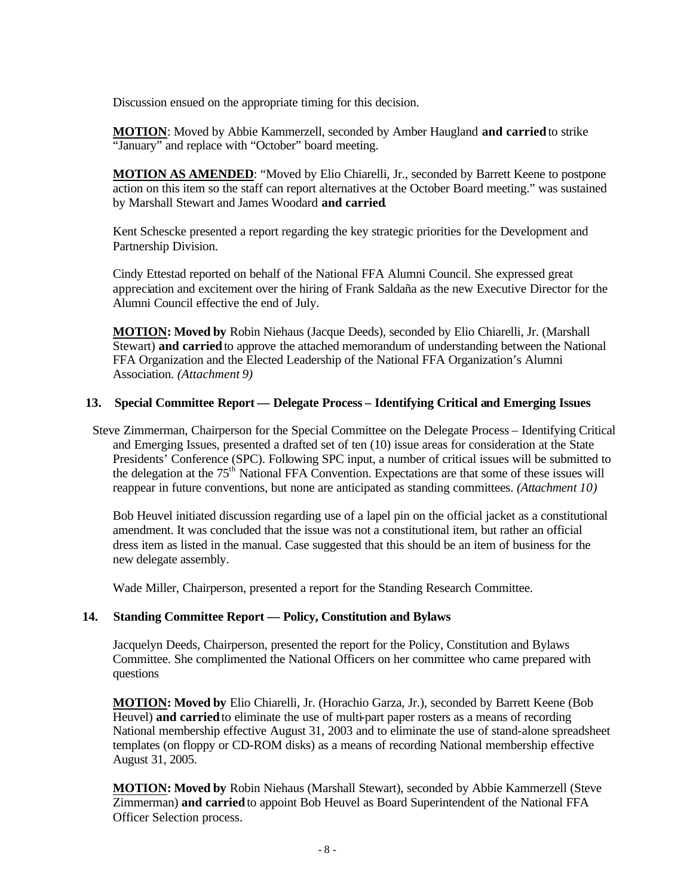Discussion ensued on the appropriate timing for this decision.

**MOTION**: Moved by Abbie Kammerzell, seconded by Amber Haugland **and carried** to strike "January" and replace with "October" board meeting.

**MOTION AS AMENDED**: "Moved by Elio Chiarelli, Jr., seconded by Barrett Keene to postpone action on this item so the staff can report alternatives at the October Board meeting." was sustained by Marshall Stewart and James Woodard **and carried**.

Kent Schescke presented a report regarding the key strategic priorities for the Development and Partnership Division.

Cindy Ettestad reported on behalf of the National FFA Alumni Council. She expressed great appreciation and excitement over the hiring of Frank Saldaña as the new Executive Director for the Alumni Council effective the end of July.

**MOTION: Moved by** Robin Niehaus (Jacque Deeds), seconded by Elio Chiarelli, Jr. (Marshall Stewart) **and carried** to approve the attached memorandum of understanding between the National FFA Organization and the Elected Leadership of the National FFA Organization's Alumni Association. *(Attachment 9)*

## **13. Special Committee Report — Delegate Process – Identifying Critical and Emerging Issues**

Steve Zimmerman, Chairperson for the Special Committee on the Delegate Process – Identifying Critical and Emerging Issues, presented a drafted set of ten (10) issue areas for consideration at the State Presidents' Conference (SPC). Following SPC input, a number of critical issues will be submitted to the delegation at the 75<sup>th</sup> National FFA Convention. Expectations are that some of these issues will reappear in future conventions, but none are anticipated as standing committees. *(Attachment 10)*

Bob Heuvel initiated discussion regarding use of a lapel pin on the official jacket as a constitutional amendment. It was concluded that the issue was not a constitutional item, but rather an official dress item as listed in the manual. Case suggested that this should be an item of business for the new delegate assembly.

Wade Miller, Chairperson, presented a report for the Standing Research Committee.

## **14. Standing Committee Report — Policy, Constitution and Bylaws**

Jacquelyn Deeds, Chairperson, presented the report for the Policy, Constitution and Bylaws Committee. She complimented the National Officers on her committee who came prepared with questions

**MOTION: Moved by** Elio Chiarelli, Jr. (Horachio Garza, Jr.), seconded by Barrett Keene (Bob Heuvel) **and carried** to eliminate the use of multi-part paper rosters as a means of recording National membership effective August 31, 2003 and to eliminate the use of stand-alone spreadsheet templates (on floppy or CD-ROM disks) as a means of recording National membership effective August 31, 2005.

**MOTION: Moved by** Robin Niehaus (Marshall Stewart), seconded by Abbie Kammerzell (Steve Zimmerman) **and carried** to appoint Bob Heuvel as Board Superintendent of the National FFA Officer Selection process.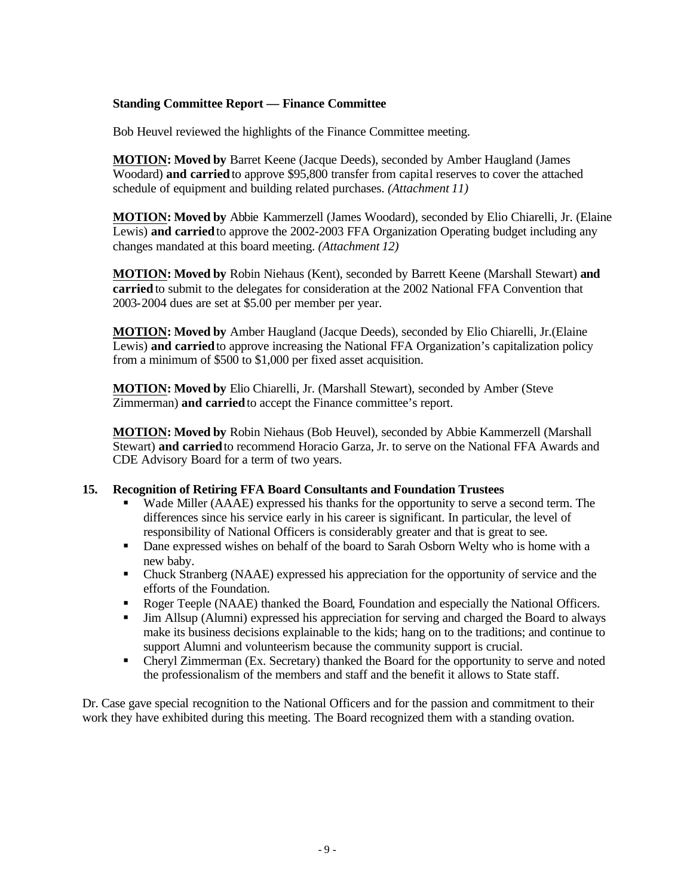# **Standing Committee Report — Finance Committee**

Bob Heuvel reviewed the highlights of the Finance Committee meeting.

**MOTION: Moved by** Barret Keene (Jacque Deeds), seconded by Amber Haugland (James Woodard) **and carried** to approve \$95,800 transfer from capital reserves to cover the attached schedule of equipment and building related purchases. *(Attachment 11)*

**MOTION: Moved by** Abbie Kammerzell (James Woodard), seconded by Elio Chiarelli, Jr. (Elaine Lewis) **and carried** to approve the 2002-2003 FFA Organization Operating budget including any changes mandated at this board meeting. *(Attachment 12)*

**MOTION: Moved by** Robin Niehaus (Kent), seconded by Barrett Keene (Marshall Stewart) **and carried** to submit to the delegates for consideration at the 2002 National FFA Convention that 2003-2004 dues are set at \$5.00 per member per year.

**MOTION: Moved by** Amber Haugland (Jacque Deeds), seconded by Elio Chiarelli, Jr.(Elaine Lewis) **and carried** to approve increasing the National FFA Organization's capitalization policy from a minimum of \$500 to \$1,000 per fixed asset acquisition.

**MOTION: Moved by** Elio Chiarelli, Jr. (Marshall Stewart), seconded by Amber (Steve Zimmerman) **and carried** to accept the Finance committee's report.

**MOTION: Moved by** Robin Niehaus (Bob Heuvel), seconded by Abbie Kammerzell (Marshall Stewart) **and carried** to recommend Horacio Garza, Jr. to serve on the National FFA Awards and CDE Advisory Board for a term of two years.

## **15. Recognition of Retiring FFA Board Consultants and Foundation Trustees**

- ß Wade Miller (AAAE) expressed his thanks for the opportunity to serve a second term. The differences since his service early in his career is significant. In particular, the level of responsibility of National Officers is considerably greater and that is great to see.
- Dane expressed wishes on behalf of the board to Sarah Osborn Welty who is home with a new baby.
- Chuck Stranberg (NAAE) expressed his appreciation for the opportunity of service and the efforts of the Foundation.
- Roger Teeple (NAAE) thanked the Board, Foundation and especially the National Officers.
- **IIM Allsup (Alumni) expressed his appreciation for serving and charged the Board to always** make its business decisions explainable to the kids; hang on to the traditions; and continue to support Alumni and volunteerism because the community support is crucial.
- Cheryl Zimmerman (Ex. Secretary) thanked the Board for the opportunity to serve and noted the professionalism of the members and staff and the benefit it allows to State staff.

Dr. Case gave special recognition to the National Officers and for the passion and commitment to their work they have exhibited during this meeting. The Board recognized them with a standing ovation.